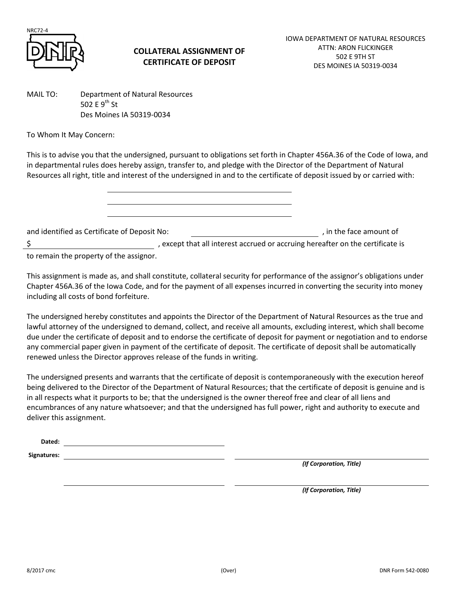

## **COLLATERAL ASSIGNMENT OF CERTIFICATE OF DEPOSIT**

MAIL TO: Department of Natural Resources 502 F  $9^{th}$  St Des Moines IA 50319-0034

To Whom It May Concern:

This is to advise you that the undersigned, pursuant to obligations set forth in Chapter 456A.36 of the Code of Iowa, and in departmental rules does hereby assign, transfer to, and pledge with the Director of the Department of Natural Resources all right, title and interest of the undersigned in and to the certificate of deposit issued by or carried with:

and identified as Certificate of Deposit No:  $\qquad \qquad$ , in the face amount of \$ , except that all interest accrued or accruing hereafter on the certificate is

to remain the property of the assignor.

This assignment is made as, and shall constitute, collateral security for performance of the assignor's obligations under Chapter 456A.36 of the Iowa Code, and for the payment of all expenses incurred in converting the security into money including all costs of bond forfeiture.

The undersigned hereby constitutes and appoints the Director of the Department of Natural Resources as the true and lawful attorney of the undersigned to demand, collect, and receive all amounts, excluding interest, which shall become due under the certificate of deposit and to endorse the certificate of deposit for payment or negotiation and to endorse any commercial paper given in payment of the certificate of deposit. The certificate of deposit shall be automatically renewed unless the Director approves release of the funds in writing.

The undersigned presents and warrants that the certificate of deposit is contemporaneously with the execution hereof being delivered to the Director of the Department of Natural Resources; that the certificate of deposit is genuine and is in all respects what it purports to be; that the undersigned is the owner thereof free and clear of all liens and encumbrances of any nature whatsoever; and that the undersigned has full power, right and authority to execute and deliver this assignment.

| Dated:      |  |
|-------------|--|
| Signatures: |  |

*(If Corporation, Title)*

*(If Corporation, Title)*